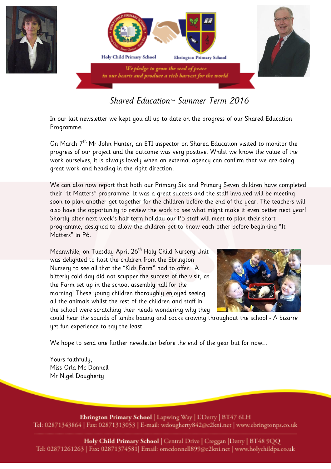

## *Shared Education~ Summer Term 2016*

In our last newsletter we kept you all up to date on the progress of our Shared Education Programme.

On March  $7<sup>th</sup>$  Mr John Hunter, an ETI inspector on Shared Education visited to monitor the progress of our project and the outcome was very positive. Whilst we know the value of the work ourselves, it is always lovely when an external agency can confirm that we are doing great work and heading in the right direction!

We can also now report that both our Primary Six and Primary Seven children have completed their "It Matters" programme. It was a great success and the staff involved will be meeting soon to plan another get together for the children before the end of the year. The teachers will also have the opportunity to review the work to see what might make it even better next year! Shortly after next week's half term holiday our P5 staff will meet to plan their short programme, designed to allow the children get to know each other before beginning "It Matters" in P6.

Meanwhile, on Tuesday April 26<sup>th</sup> Holy Child Nursery Unit was delighted to host the children from the Ebrington Nursery to see all that the "Kids Farm" had to offer. A bitterly cold day did not scupper the success of the visit, as the Farm set up in the school assembly hall for the morning! These young children thoroughly enjoyed seeing all the animals whilst the rest of the children and staff in the school were scratching their heads wondering why they



could hear the sounds of lambs baaing and cocks crowing throughout the school - A bizarre yet fun experience to say the least.

We hope to send one further newsletter before the end of the year but for now….

Yours faithfully, Miss Orla Mc Donnell Mr Nigel Dougherty

Ebrington Primary School | Lapwing Way | L'Derry | BT47 6LH Tel: 02871343864 | Fax: 02871313053 | E-mail: wdougherty842@c2kni.net | www.ebringtonps.co.uk

Holy Child Primary School | Central Drive | Creggan | Derry | BT48 9QQ Tel: 02871261263 | Fax: 02871374581| Email: omcdonnell899@c2kni.net | www.holychildps.co.uk